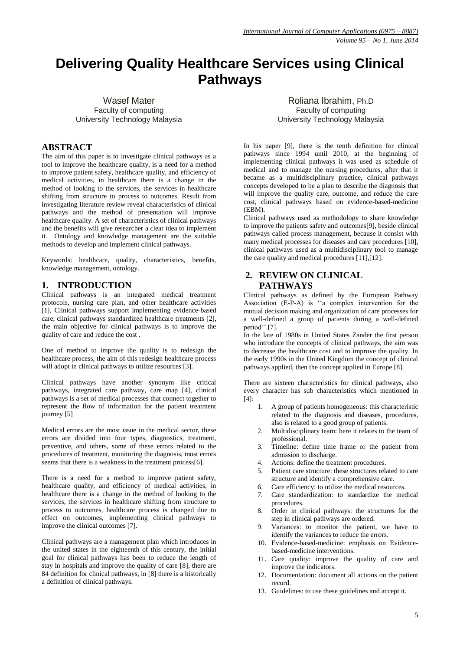# **Delivering Quality Healthcare Services using Clinical Pathways**

Wasef Mater Faculty of computing University Technology Malaysia

Roliana Ibrahim, Ph.D Faculty of computing University Technology Malaysia

#### **ABSTRACT**

The aim of this paper is to investigate clinical pathways as a tool to improve the healthcare quality, is a need for a method to improve patient safety, healthcare quality, and efficiency of medical activities, in healthcare there is a change in the method of looking to the services, the services in healthcare shifting from structure to process to outcomes. Result from investigating literature review reveal characteristics of clinical pathways and the method of presentation will improve healthcare quality. A set of characteristics of clinical pathways and the benefits will give researcher a clear idea to implement it. Ontology and knowledge management are the suitable methods to develop and implement clinical pathways.

Keywords: healthcare, quality, characteristics, benefits, knowledge management, ontology.

#### **1. INTRODUCTION**

Clinical pathways is an integrated medical treatment protocols, nursing care plan, and other healthcare activities [\[1\]](#page-2-0), Clinical pathways support implementing evidence-based care, clinical pathways standardized healthcare treatments [\[2\]](#page-2-1), the main objective for clinical pathways is to improve the quality of care and reduce the cost .

One of method to improve the quality is to redesign the healthcare process, the aim of this redesign healthcare process will adopt in clinical pathways to utilize resources [\[3\]](#page-2-2).

Clinical pathways have another synonym like critical pathways, integrated care pathway, care map [\[4\]](#page-2-3), clinical pathways is a set of medical processes that connect together to represent the flow of information for the patient treatment journey [\[5\]](#page-2-4)

Medical errors are the most issue in the medical sector, these errors are divided into four types, diagnostics, treatment, preventive, and others, some of these errors related to the procedures of treatment, monitoring the diagnosis, most errors seems that there is a weakness in the treatment process[\[6\]](#page-2-5).

There is a need for a method to improve patient safety, healthcare quality, and efficiency of medical activities, in healthcare there is a change in the method of looking to the services, the services in healthcare shifting from structure to process to outcomes, healthcare process is changed due to effect on outcomes, implementing clinical pathways to improve the clinical outcomes [\[7\]](#page-2-6).

Clinical pathways are a management plan which introduces in the united states in the eighteenth of this century, the initial goal for clinical pathways has been to reduce the length of stay in hospitals and improve the quality of care [\[8\]](#page-2-7), there are 84 definition for clinical pathways, in [\[8\]](#page-2-7) there is a historically a definition of clinical pathways.

In his paper [\[9\]](#page-2-8), there is the tenth definition for clinical pathways since 1994 until 2010, at the beginning of implementing clinical pathways it was used as schedule of medical and to manage the nursing procedures, after that it became as a multidisciplinary practice, clinical pathways concepts developed to be a plan to describe the diagnosis that will improve the quality care, outcome, and reduce the care cost, clinical pathways based on evidence-based-medicine (EBM).

Clinical pathways used as methodology to share knowledge to improve the patients safety and outcomes[\[9\]](#page-2-8), beside clinical pathways called process management, because it consist with many medical processes for diseases and care procedures [\[10\]](#page-3-0), clinical pathways used as a multidisciplinary tool to manage the care quality and medical procedures [\[11\]](#page-3-1),[\[12\]](#page-3-2).

## **2. REVIEW ON CLINICAL PATHWAYS**

Clinical pathways as defined by the European Pathway Association (E-P-A) is ''a complex intervention for the mutual decision making and organization of care processes for a well-defined a group of patients during a well-defined period'' [\[7\]](#page-2-6).

In the late of 1980s in United States Zander the first person who introduce the concepts of clinical pathways, the aim was to decrease the healthcare cost and to improve the quality. In the early 1990s in the United Kingdom the concept of clinical pathways applied, then the concept applied in Europe [\[8\]](#page-2-7).

There are sixteen characteristics for clinical pathways, also every character has sub characteristics which mentioned in [\[4\]](#page-2-3):

- 1. A group of patients homogeneous: this characteristic related to the diagnosis and diseases, procedures, also is related to a good group of patients.
- 2. Multidisciplinary team: here it relates to the team of professional.
- 3. Timeline: define time frame or the patient from admission to discharge.
- 4. Actions: define the treatment procedures.
- 5. Patient care structure: these structures related to care structure and identify a comprehensive care.
- 6. Care efficiency: to utilize the medical resources.
- 7. Care standardization: to standardize the medical procedures.
- 8. Order in clinical pathways: the structures for the step in clinical pathways are ordered.
- 9. Variances: to monitor the patient, we have to identify the variances to reduce the errors.
- 10. Evidence-based-medicine: emphasis on Evidencebased-medicine interventions.
- 11. Care quality: improve the quality of care and improve the indicators.
- 12. Documentation: document all actions on the patient record.
- 13. Guidelines: to use these guidelines and accept it.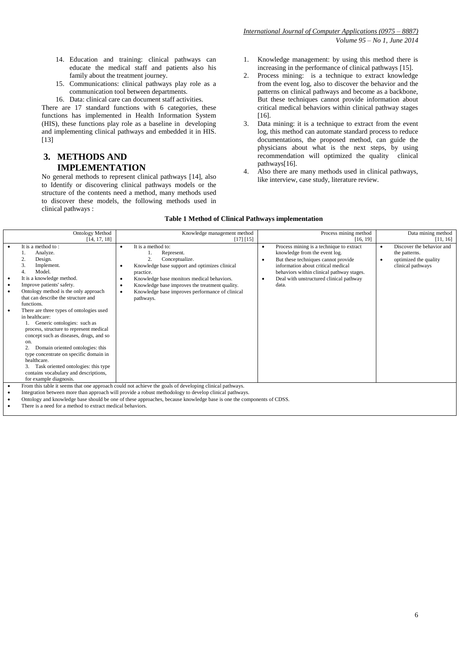- 14. Education and training: clinical pathways can educate the medical staff and patients also his family about the treatment journey.
- 15. Communications: clinical pathways play role as a communication tool between departments.
- 16. Data: clinical care can document staff activities.

There are 17 standard functions with 6 categories, these functions has implemented in Health Information System (HIS), these functions play role as a baseline in developing and implementing clinical pathways and embedded it in HIS. [\[13\]](#page-3-3)

# **3. METHODS AND IMPLEMENTATION**

No general methods to represent clinical pathways [\[14\]](#page-3-4), also to Identify or discovering clinical pathways models or the structure of the contents need a method, many methods used to discover these models, the following methods used in clinical pathways :

- 1. Knowledge management: by using this method there is increasing in the performance of clinical pathways [\[15\]](#page-3-5).
- 2. Process mining: is a technique to extract knowledge from the event log, also to discover the behavior and the patterns on clinical pathways and become as a backbone, But these techniques cannot provide information about critical medical behaviors within clinical pathway stages [\[16\]](#page-3-6).
- 3. Data mining: it is a technique to extract from the event log, this method can automate standard process to reduce documentations, the proposed method, can guide the physicians about what is the next steps, by using recommendation will optimized the quality clinical pathways[\[16\]](#page-3-6).
- 4. Also there are many methods used in clinical pathways, like interview, case study, literature review.

| <b>Ontology Method</b>                                                                                                                                                                                                                                                                                                                                                                                                                                                                                                                                                                                      |                               | Knowledge management method                                                                                                                                                                                                                                                            |           | Process mining method                                                                                                                                                                                                                                   |  | Data mining method                                                                       |  |  |
|-------------------------------------------------------------------------------------------------------------------------------------------------------------------------------------------------------------------------------------------------------------------------------------------------------------------------------------------------------------------------------------------------------------------------------------------------------------------------------------------------------------------------------------------------------------------------------------------------------------|-------------------------------|----------------------------------------------------------------------------------------------------------------------------------------------------------------------------------------------------------------------------------------------------------------------------------------|-----------|---------------------------------------------------------------------------------------------------------------------------------------------------------------------------------------------------------------------------------------------------------|--|------------------------------------------------------------------------------------------|--|--|
| [14, 17, 18]                                                                                                                                                                                                                                                                                                                                                                                                                                                                                                                                                                                                |                               | [17] [15]                                                                                                                                                                                                                                                                              |           | [16, 19]                                                                                                                                                                                                                                                |  | [11, 16]                                                                                 |  |  |
| It is a method to:<br>Analyze.<br>Design.<br>3.<br>Implement.<br>Model.<br>4.<br>It is a knowledge method.<br>Improve patients' safety.<br>Ontology method is the only approach<br>that can describe the structure and<br>functions.<br>There are three types of ontologies used<br>in healthcare:<br>Generic ontologies: such as<br>process, structure to represent medical<br>concept such as diseases, drugs, and so<br>on.<br>Domain oriented ontologies: this<br>type concentrate on specific domain in<br>healthcare.<br>Task oriented ontologies: this type<br>contains vocabulary and descriptions, | $\bullet$<br>٠<br>٠<br>٠<br>٠ | It is a method to:<br>Represent.<br>2.<br>Conceptualize.<br>Knowledge base support and optimizes clinical<br>practice.<br>Knowledge base monitors medical behaviors.<br>Knowledge base improves the treatment quality.<br>Knowledge base improves performance of clinical<br>pathways. | $\bullet$ | Process mining is a technique to extract<br>knowledge from the event log.<br>But these techniques cannot provide<br>information about critical medical<br>behaviors within clinical pathway stages.<br>Deal with unstructured clinical pathway<br>data. |  | Discover the behavior and<br>the patterns.<br>optimized the quality<br>clinical pathways |  |  |
| for example diagnosis.                                                                                                                                                                                                                                                                                                                                                                                                                                                                                                                                                                                      |                               |                                                                                                                                                                                                                                                                                        |           |                                                                                                                                                                                                                                                         |  |                                                                                          |  |  |
|                                                                                                                                                                                                                                                                                                                                                                                                                                                                                                                                                                                                             |                               | From this table it seems that one approach could not achieve the goals of developing clinical pathways.                                                                                                                                                                                |           |                                                                                                                                                                                                                                                         |  |                                                                                          |  |  |
| Integration between more than approach will provide a robust methodology to develop clinical pathways.                                                                                                                                                                                                                                                                                                                                                                                                                                                                                                      |                               |                                                                                                                                                                                                                                                                                        |           |                                                                                                                                                                                                                                                         |  |                                                                                          |  |  |
| Ontology and knowledge base should be one of these approaches, because knowledge base is one the components of CDSS.<br>Thoma is a mood fould mothed to approach modical behaviour                                                                                                                                                                                                                                                                                                                                                                                                                          |                               |                                                                                                                                                                                                                                                                                        |           |                                                                                                                                                                                                                                                         |  |                                                                                          |  |  |
|                                                                                                                                                                                                                                                                                                                                                                                                                                                                                                                                                                                                             |                               |                                                                                                                                                                                                                                                                                        |           |                                                                                                                                                                                                                                                         |  |                                                                                          |  |  |

There is a need for a method to extract medical behaviors.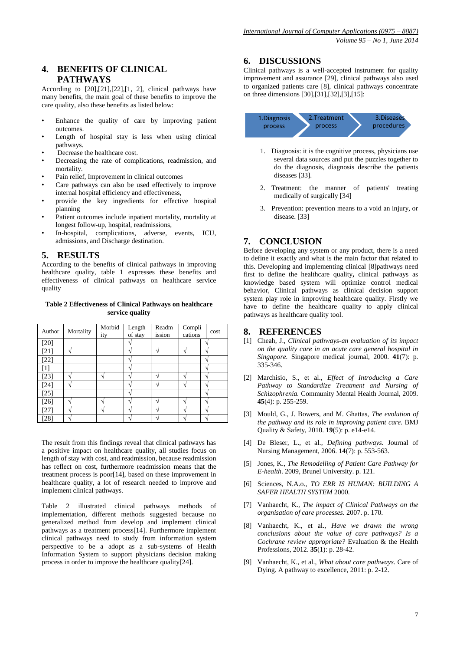# **4. BENEFITS OF CLINICAL PATHWAYS**

According to [\[20\]](#page-3-10),[\[21\]](#page-3-11),[\[22\]](#page-3-12),[\[1,](#page-2-0) [2\]](#page-2-1), clinical pathways have many benefits, the main goal of these benefits to improve the care quality, also these benefits as listed below:

- Enhance the quality of care by improving patient outcomes.
- Length of hospital stay is less when using clinical pathways.
- Decrease the healthcare cost.
- Decreasing the rate of complications, readmission, and mortality.
- Pain relief, Improvement in clinical outcomes
- Care pathways can also be used effectively to improve internal hospital efficiency and effectiveness,
- provide the key ingredients for effective hospital planning
- Patient outcomes include inpatient mortality, mortality at longest follow-up, hospital, readmissions,
- In-hospital, complications, adverse, events, ICU, admissions, and Discharge destination.

## **5. RESULTS**

According to the benefits of clinical pathways in improving healthcare quality, table 1 expresses these benefits and effectiveness of clinical pathways on healthcare service quality

#### **Table 2 Effectiveness of Clinical Pathways on healthcare service quality**

| Author       | Mortality         | Morbid<br>ity | Length<br>of stay | Readm<br>ission | Compli<br>cations | cost |
|--------------|-------------------|---------------|-------------------|-----------------|-------------------|------|
| [20]         |                   |               |                   |                 |                   |      |
| [21]         | ٦                 |               |                   |                 |                   |      |
| $[22]$       |                   |               |                   |                 |                   |      |
| 11           |                   |               | ٠                 |                 |                   |      |
| 23]          | $\mathbf \Lambda$ |               | ٠                 |                 | ٠                 |      |
| [24]         | ٠                 |               |                   |                 |                   |      |
| $[25]$       |                   |               |                   |                 |                   |      |
| 26           | ٠                 |               |                   |                 |                   |      |
| 27           |                   |               |                   |                 |                   |      |
| $28^{\circ}$ |                   |               |                   |                 |                   |      |

The result from this findings reveal that clinical pathways has a positive impact on healthcare quality, all studies focus on length of stay with cost, and readmission, because readmission has reflect on cost, furthermore readmission means that the treatment process is poor[\[14\]](#page-3-4), based on these improvement in healthcare quality, a lot of research needed to improve and implement clinical pathways.

Table 2 illustrated clinical pathways methods of implementation, different methods suggested because no generalized method from develop and implement clinical pathways as a treatment process[\[14\]](#page-3-4). Furthermore implement clinical pathways need to study from information system perspective to be a adopt as a sub-systems of Health Information System to support physicians decision making process in order to improve the healthcare quality[\[24\]](#page-3-14).

## **6. DISCUSSIONS**

Clinical pathways is a well-accepted instrument for quality improvement and assurance [\[29\]](#page-3-19), clinical pathways also used to organized patients care [\[8\]](#page-2-7), clinical pathways concentrate on three dimensions [\[30\]](#page-3-20),[\[31\]](#page-3-21),[\[32\]](#page-3-22),[\[3\]](#page-2-2),[\[15\]](#page-3-5):



- 1. Diagnosis: it is the cognitive process, physicians use several data sources and put the puzzles together to do the diagnosis, diagnosis describe the patients diseases [\[33\]](#page-3-23).
- 2. Treatment: the manner of patients' treating medically of surgically [\[34\]](#page-3-24)
- 3. Prevention: prevention means to a void an injury, or disease. [\[33\]](#page-3-23)

# **7. CONCLUSION**

Before developing any system or any product, there is a need to define it exactly and what is the main factor that related to this. Developing and implementing clinical [\[8\]](#page-2-7)pathways need first to define the healthcare quality**,** clinical pathways as knowledge based system will optimize control medical behavior, Clinical pathways as clinical decision support system play role in improving healthcare quality. Firstly we have to define the healthcare quality to apply clinical pathways as healthcare quality tool.

#### **8. REFERENCES**

- <span id="page-2-0"></span>[1] Cheah, J., *Clinical pathways-an evaluation of its impact on the quality care in an acute care general hospital in Singapore.* Singapore medical journal, 2000. **41**(7): p. 335-346.
- <span id="page-2-1"></span>[2] Marchisio, S., et al., *Effect of Introducing a Care Pathway to Standardize Treatment and Nursing of Schizophrenia.* Community Mental Health Journal, 2009. **45**(4): p. 255-259.
- <span id="page-2-2"></span>[3] Mould, G., J. Bowers, and M. Ghattas, *The evolution of the pathway and its role in improving patient care.* BMJ Quality & Safety, 2010. **19**(5): p. e14-e14.
- <span id="page-2-3"></span>[4] De Bleser, L., et al., *Defining pathways.* Journal of Nursing Management, 2006. **14**(7): p. 553-563.
- <span id="page-2-4"></span>[5] Jones, K., *The Remodelling of Patient Care Pathway for E-health*. 2009, Brunel University. p. 121.
- <span id="page-2-5"></span>[6] Sciences, N.A.o., *TO ERR IS HUMAN: BUILDING A SAFER HEALTH SYSTEM* 2000.
- <span id="page-2-6"></span>[7] Vanhaecht, K., *The impact of Clinical Pathways on the organisation of care processes*. 2007. p. 170.
- <span id="page-2-7"></span>[8] Vanhaecht, K., et al., *Have we drawn the wrong conclusions about the value of care pathways? Is a Cochrane review appropriate?* Evaluation & the Health Professions, 2012. **35**(1): p. 28-42.
- <span id="page-2-8"></span>[9] Vanhaecht, K., et al., *What about care pathways.* Care of Dying. A pathway to excellence, 2011: p. 2-12.